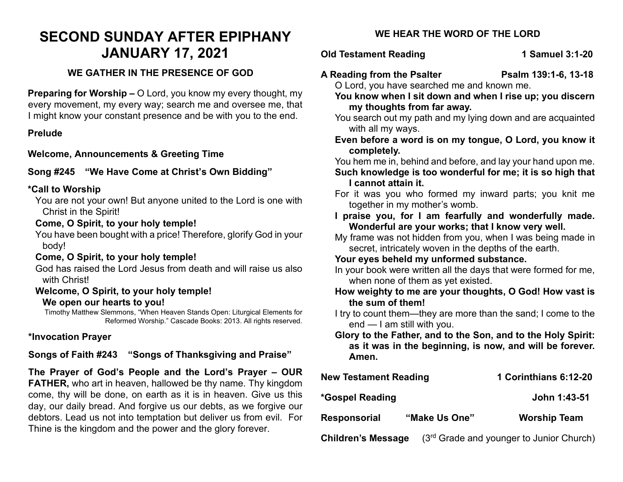# **SECOND SUNDAY AFTER EPIPHANY JANUARY 17, 2021**

#### **WE GATHER IN THE PRESENCE OF GOD**

**Preparing for Worship –** O Lord, you know my every thought, my every movement, my every way; search me and oversee me, that I might know your constant presence and be with you to the end.

#### **Prelude**

**Welcome, Announcements & Greeting Time** 

# **Song #245 "We Have Come at Christ's Own Bidding"**

#### **\*Call to Worship**

You are not your own! But anyone united to the Lord is one with Christ in the Spirit!

# **Come, O Spirit, to your holy temple!**

You have been bought with a price! Therefore, glorify God in your body!

# **Come, O Spirit, to your holy temple!**

God has raised the Lord Jesus from death and will raise us also with Christ!

#### **Welcome, O Spirit, to your holy temple! We open our hearts to you!**

Timothy Matthew Slemmons, "When Heaven Stands Open: Liturgical Elements for Reformed Worship." Cascade Books: 2013. All rights reserved.

# **\*Invocation Prayer**

# **Songs of Faith #243 "Songs of Thanksgiving and Praise"**

**The Prayer of God's People and the Lord's Prayer – OUR FATHER,** who art in heaven, hallowed be thy name. Thy kingdom come, thy will be done, on earth as it is in heaven. Give us this day, our daily bread. And forgive us our debts, as we forgive our debtors. Lead us not into temptation but deliver us from evil. For Thine is the kingdom and the power and the glory forever.

# **WE HEAR THE WORD OF THE LORD**

# **Old Testament Reading 1 Samuel 3:1-20**

- **A Reading from the Psalter Psalm 139:1-6, 13-18** O Lord, you have searched me and known me.
	- **You know when I sit down and when I rise up; you discern my thoughts from far away.**
	- You search out my path and my lying down and are acquainted with all my ways.
	- **Even before a word is on my tongue, O Lord, you know it completely.**
	- You hem me in, behind and before, and lay your hand upon me.
	- **Such knowledge is too wonderful for me; it is so high that I cannot attain it.**
	- For it was you who formed my inward parts; you knit me together in my mother's womb.
	- **I praise you, for I am fearfully and wonderfully made. Wonderful are your works; that I know very well.**
	- My frame was not hidden from you, when I was being made in secret, intricately woven in the depths of the earth.

#### **Your eyes beheld my unformed substance.**

In your book were written all the days that were formed for me, when none of them as yet existed.

- **How weighty to me are your thoughts, O God! How vast is the sum of them!**
- I try to count them—they are more than the sand; I come to the end — I am still with you.
- **Glory to the Father, and to the Son, and to the Holy Spirit: as it was in the beginning, is now, and will be forever. Amen.**

| <b>New Testament Reading</b> |               | 1 Corinthians 6:12-20                      |
|------------------------------|---------------|--------------------------------------------|
| *Gospel Reading              |               | John 1:43-51                               |
| <b>Responsorial</b>          | "Make Us One" | <b>Worship Team</b>                        |
| <b>Children's Message</b>    |               | $(3rd$ Grade and younger to Junior Church) |